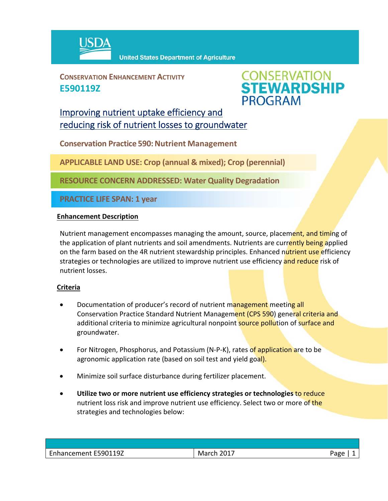

**CONSERVATION ENHANCEMENT ACTIVITY E590119Z**



## Improving nutrient uptake efficiency and reducing risk of nutrient losses to groundwater

**Conservation Practice 590: Nutrient Management** 

**APPLICABLE LAND USE: Crop (annual & mixed); Crop (perennial)**

**RESOURCE CONCERN ADDRESSED: Water Quality Degradation**

**PRACTICE LIFE SPAN: 1 year**

## **Enhancement Description**

Nutrient management encompasses managing the amount, source, placement, and timing of the application of plant nutrients and soil amendments. Nutrients are currently being applied on the farm based on the 4R nutrient stewardship principles. Enhanced nutrient use efficiency strategies or technologies are utilized to improve nutrient use efficiency and reduce risk of nutrient losses.

## **Criteria**

- Documentation of producer's record of nutrient management meeting all Conservation Practice Standard Nutrient Management (CPS 590) general criteria and additional criteria to minimize agricultural nonpoint source pollution of surface and groundwater.
- For Nitrogen, Phosphorus, and Potassium (N-P-K), rates of application are to be agronomic application rate (based on soil test and yield goal).
- Minimize soil surface disturbance during fertilizer placement.
- **Utilize two or more nutrient use efficiency strategies or technologies** to reduce nutrient loss risk and improve nutrient use efficiency. Select two or more of the strategies and technologies below:

| Enhancement E590119Z | March 2017 | Page |
|----------------------|------------|------|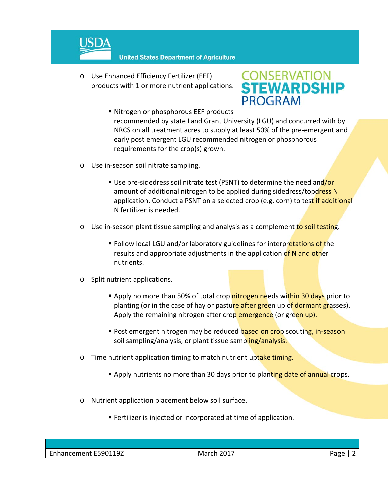

o Use Enhanced Efficiency Fertilizer (EEF) products with 1 or more nutrient applications.



- Nitrogen or phosphorous EEF products recommended by state Land Grant University (LGU) and concurred with by NRCS on all treatment acres to supply at least 50% of the pre‐emergent and early post emergent LGU recommended nitrogen or phosphorous requirements for the crop(s) grown.
- o Use in‐season soil nitrate sampling.
	- Use pre-sidedress soil nitrate test (PSNT) to determine the need and/or amount of additional nitrogen to be applied during sidedress/topdress N application. Conduct a PSNT on a selected crop (e.g. corn) to test if additional N fertilizer is needed.
- o Use in-season plant tissue sampling and analysis as a complement to soil testing.
	- **Follow local LGU and/or laboratory guidelines for interpretations of the** results and appropriate adjustments in the application of N and other nutrients.
- o Split nutrient applications.
	- **Apply no more than 50% of total crop nitrogen needs within 30 days prior to** planting (or in the case of hay or pasture after green up of dormant grasses). Apply the remaining nitrogen after crop emergence (or green up).
	- Post emergent nitrogen may be reduced based on crop scouting, in-season soil sampling/analysis, or plant tissue sampling/analysis.
- o Time nutrient application timing to match nutrient uptake timing.
	- **Apply nutrients no more than 30 days prior to planting date of annual crops.**
- o Nutrient application placement below soil surface.
	- Fertilizer is injected or incorporated at time of application.

| Enhancement E590119Z | March 2017 | Page |
|----------------------|------------|------|